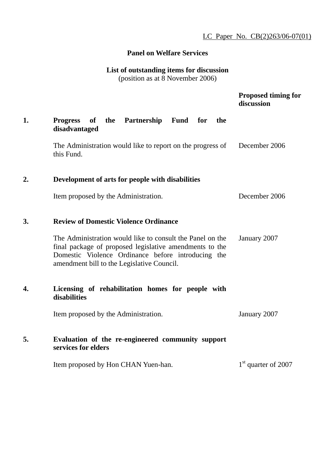# **Panel on Welfare Services**

# **List of outstanding items for discussion**

(position as at 8 November 2006)

|    |                                                                                                                                                                                                                          | <b>Proposed timing for</b><br>discussion |
|----|--------------------------------------------------------------------------------------------------------------------------------------------------------------------------------------------------------------------------|------------------------------------------|
| 1. | <b>Progress</b><br>the Partnership Fund for<br>the<br>of<br>disadvantaged                                                                                                                                                |                                          |
|    | The Administration would like to report on the progress of<br>this Fund.                                                                                                                                                 | December 2006                            |
| 2. | Development of arts for people with disabilities                                                                                                                                                                         |                                          |
|    | Item proposed by the Administration.                                                                                                                                                                                     | December 2006                            |
| 3. | <b>Review of Domestic Violence Ordinance</b>                                                                                                                                                                             |                                          |
|    | The Administration would like to consult the Panel on the<br>final package of proposed legislative amendments to the<br>Domestic Violence Ordinance before introducing the<br>amendment bill to the Legislative Council. | January 2007                             |
| 4. | Licensing of rehabilitation homes for people with<br>disabilities                                                                                                                                                        |                                          |
|    | Item proposed by the Administration.                                                                                                                                                                                     | January 2007                             |
| 5. | Evaluation of the re-engineered community support<br>services for elders                                                                                                                                                 |                                          |

Item proposed by Hon CHAN Yuen-han. 1st quarter of 2007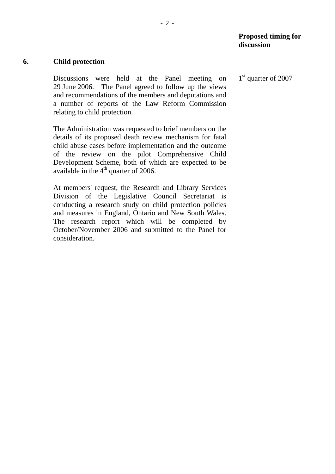#### **Proposed timing for discussion**

#### **6. Child protection**

Discussions were held at the Panel meeting on 29 June 2006. The Panel agreed to follow up the views and recommendations of the members and deputations and a number of reports of the Law Reform Commission relating to child protection.

The Administration was requested to brief members on the details of its proposed death review mechanism for fatal child abuse cases before implementation and the outcome of the review on the pilot Comprehensive Child Development Scheme, both of which are expected to be available in the  $4<sup>th</sup>$  quarter of 2006.

At members' request, the Research and Library Services Division of the Legislative Council Secretariat is conducting a research study on child protection policies and measures in England, Ontario and New South Wales. The research report which will be completed by October/November 2006 and submitted to the Panel for consideration.

1<sup>st</sup> quarter of 2007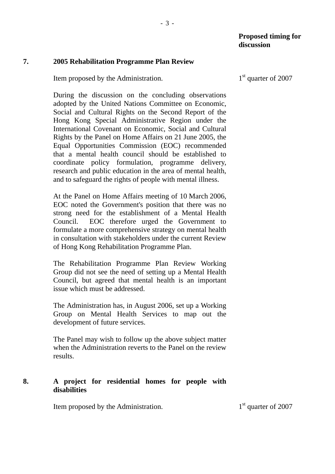#### **7. 2005 Rehabilitation Programme Plan Review**

Item proposed by the Administration.

During the discussion on the concluding observations adopted by the United Nations Committee on Economic, Social and Cultural Rights on the Second Report of the Hong Kong Special Administrative Region under the International Covenant on Economic, Social and Cultural Rights by the Panel on Home Affairs on 21 June 2005, the Equal Opportunities Commission (EOC) recommended that a mental health council should be established to coordinate policy formulation, programme delivery, research and public education in the area of mental health, and to safeguard the rights of people with mental illness.

At the Panel on Home Affairs meeting of 10 March 2006, EOC noted the Government's position that there was no strong need for the establishment of a Mental Health Council. EOC therefore urged the Government to formulate a more comprehensive strategy on mental health in consultation with stakeholders under the current Review of Hong Kong Rehabilitation Programme Plan.

The Rehabilitation Programme Plan Review Working Group did not see the need of setting up a Mental Health Council, but agreed that mental health is an important issue which must be addressed.

The Administration has, in August 2006, set up a Working Group on Mental Health Services to map out the development of future services.

The Panel may wish to follow up the above subject matter when the Administration reverts to the Panel on the review results.

#### **8. A project for residential homes for people with disabilities**

Item proposed by the Administration.  $1<sup>st</sup>$  quarter of 2007

1<sup>st</sup> quarter of 2007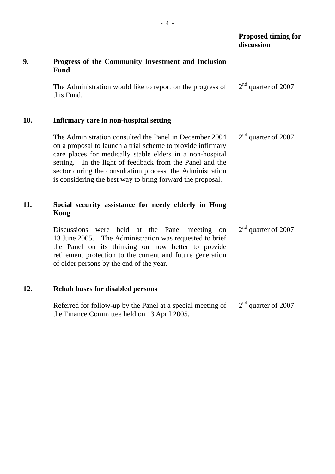#### **Proposed timing for discussion**

# **9. Progress of the Community Investment and Inclusion Fund**

The Administration would like to report on the progress of this Fund. 2<sup>nd</sup> quarter of 2007

#### **10. Infirmary care in non-hospital setting**

The Administration consulted the Panel in December 2004 on a proposal to launch a trial scheme to provide infirmary care places for medically stable elders in a non-hospital setting. In the light of feedback from the Panel and the sector during the consultation process, the Administration is considering the best way to bring forward the proposal. 2<sup>nd</sup> quarter of 2007

# **11. Social security assistance for needy elderly in Hong Kong**

Discussions were held at the Panel meeting on 13 June 2005. The Administration was requested to brief the Panel on its thinking on how better to provide retirement protection to the current and future generation of older persons by the end of the year. 2<sup>nd</sup> quarter of 2007

## **12. Rehab buses for disabled persons**

Referred for follow-up by the Panel at a special meeting of the Finance Committee held on 13 April 2005. 2<sup>nd</sup> quarter of 2007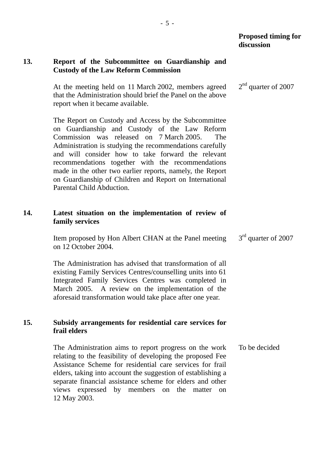#### **13. Report of the Subcommittee on Guardianship and Custody of the Law Reform Commission**

At the meeting held on 11 March 2002, members agreed that the Administration should brief the Panel on the above report when it became available. 2<sup>nd</sup> quarter of 2007

The Report on Custody and Access by the Subcommittee on Guardianship and Custody of the Law Reform Commission was released on 7 March 2005. The Administration is studying the recommendations carefully and will consider how to take forward the relevant recommendations together with the recommendations made in the other two earlier reports, namely, the Report on Guardianship of Children and Report on International Parental Child Abduction.

## **14. Latest situation on the implementation of review of family services**

Item proposed by Hon Albert CHAN at the Panel meeting on 12 October 2004. 3<sup>rd</sup> quarter of 2007

The Administration has advised that transformation of all existing Family Services Centres/counselling units into 61 Integrated Family Services Centres was completed in March 2005. A review on the implementation of the aforesaid transformation would take place after one year.

#### **15. Subsidy arrangements for residential care services for frail elders**

The Administration aims to report progress on the work relating to the feasibility of developing the proposed Fee Assistance Scheme for residential care services for frail elders, taking into account the suggestion of establishing a separate financial assistance scheme for elders and other views expressed by members on the matter on 12 May 2003. To be decided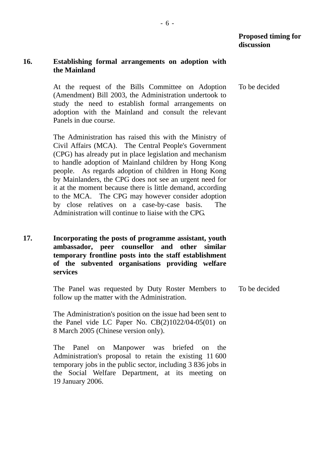#### **16. Establishing formal arrangements on adoption with the Mainland**

At the request of the Bills Committee on Adoption (Amendment) Bill 2003, the Administration undertook to study the need to establish formal arrangements on adoption with the Mainland and consult the relevant Panels in due course. To be decided

The Administration has raised this with the Ministry of Civil Affairs (MCA). The Central People's Government (CPG) has already put in place legislation and mechanism to handle adoption of Mainland children by Hong Kong people. As regards adoption of children in Hong Kong by Mainlanders, the CPG does not see an urgent need for it at the moment because there is little demand, according to the MCA. The CPG may however consider adoption by close relatives on a case-by-case basis. The Administration will continue to liaise with the CPG.

**17. Incorporating the posts of programme assistant, youth ambassador, peer counsellor and other similar temporary frontline posts into the staff establishment of the subvented organisations providing welfare services** 

> The Panel was requested by Duty Roster Members to follow up the matter with the Administration. To be decided

The Administration's position on the issue had been sent to the Panel vide LC Paper No. CB(2)1022/04-05(01) on 8 March 2005 (Chinese version only).

The Panel on Manpower was briefed on the Administration's proposal to retain the existing 11 600 temporary jobs in the public sector, including 3 836 jobs in the Social Welfare Department, at its meeting on 19 January 2006.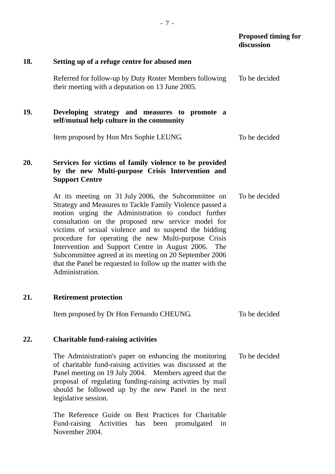|     |                                                                                                                                                                                                                                                                                                                                                                                                                                                                                                                                                       | Proposed timing for<br>discussion |
|-----|-------------------------------------------------------------------------------------------------------------------------------------------------------------------------------------------------------------------------------------------------------------------------------------------------------------------------------------------------------------------------------------------------------------------------------------------------------------------------------------------------------------------------------------------------------|-----------------------------------|
| 18. | Setting up of a refuge centre for abused men                                                                                                                                                                                                                                                                                                                                                                                                                                                                                                          |                                   |
|     | Referred for follow-up by Duty Roster Members following<br>their meeting with a deputation on 13 June 2005.                                                                                                                                                                                                                                                                                                                                                                                                                                           | To be decided                     |
| 19. | Developing strategy and measures to promote a<br>self/mutual help culture in the community                                                                                                                                                                                                                                                                                                                                                                                                                                                            |                                   |
|     | Item proposed by Hon Mrs Sophie LEUNG.                                                                                                                                                                                                                                                                                                                                                                                                                                                                                                                | To be decided                     |
| 20. | Services for victims of family violence to be provided<br>by the new Multi-purpose Crisis Intervention and<br><b>Support Centre</b>                                                                                                                                                                                                                                                                                                                                                                                                                   |                                   |
|     | At its meeting on 31 July 2006, the Subcommittee on<br>Strategy and Measures to Tackle Family Violence passed a<br>motion urging the Administration to conduct further<br>consultation on the proposed new service model for<br>victims of sexual violence and to suspend the bidding<br>procedure for operating the new Multi-purpose Crisis<br>Intervention and Support Centre in August 2006.<br>The<br>Subcommittee agreed at its meeting on 20 September 2006<br>that the Panel be requested to follow up the matter with the<br>Administration. | To be decided                     |
| 21. | <b>Retirement protection</b>                                                                                                                                                                                                                                                                                                                                                                                                                                                                                                                          |                                   |
|     | Item proposed by Dr Hon Fernando CHEUNG.                                                                                                                                                                                                                                                                                                                                                                                                                                                                                                              | To be decided                     |
| 22. | <b>Charitable fund-raising activities</b>                                                                                                                                                                                                                                                                                                                                                                                                                                                                                                             |                                   |
|     | The Administration's paper on enhancing the monitoring<br>of charitable fund-raising activities was discussed at the<br>Panel meeting on 19 July 2004. Members agreed that the<br>proposal of regulating funding-raising activities by mail<br>should be followed up by the new Panel in the next<br>legislative session.                                                                                                                                                                                                                             | To be decided                     |
|     | The Reference Guide on Best Practices for Charitable<br>Fund-raising Activities has been promulgated<br>in<br>November 2004.                                                                                                                                                                                                                                                                                                                                                                                                                          |                                   |